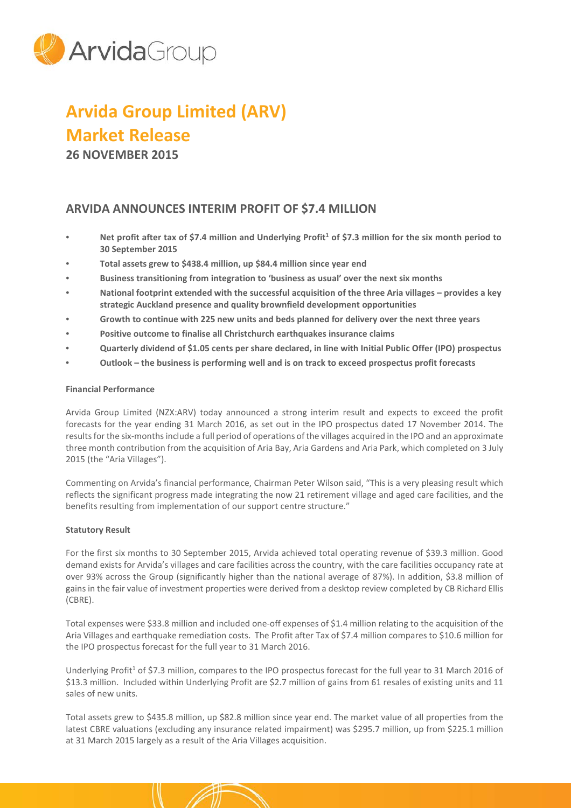

# **Arvida Group Limited (ARV) Market Release**

**26 NOVEMBER 2015**

# **ARVIDA ANNOUNCES INTERIM PROFIT OF \$7.4 MILLION**

- Net profit after tax of \$7.4 million and Underlying Profit<sup>1</sup> of \$7.3 million for the six month period to **30 September 2015**
- **Total assets grew to \$438.4 million, up \$84.4 million since year end**
- **Business transitioning from integration to 'business as usual' over the next six months**
- **National footprint extended with the successful acquisition of the three Aria villages – provides a key strategic Auckland presence and quality brownfield development opportunities**
- **Growth to continue with 225 new units and beds planned for delivery over the next three years**
- **Positive outcome to finalise all Christchurch earthquakes insurance claims**
- **Quarterly dividend of \$1.05 cents per share declared, in line with Initial Public Offer (IPO) prospectus**
- **Outlook – the business is performing well and is on track to exceed prospectus profit forecasts**

## **Financial Performance**

Arvida Group Limited (NZX:ARV) today announced a strong interim result and expects to exceed the profit forecasts for the year ending 31 March 2016, as set out in the IPO prospectus dated 17 November 2014. The results for the six-months include a full period of operations of the villages acquired in the IPO and an approximate three month contribution from the acquisition of Aria Bay, Aria Gardens and Aria Park, which completed on 3 July 2015 (the "Aria Villages").

Commenting on Arvida's financial performance, Chairman Peter Wilson said, "This is a very pleasing result which reflects the significant progress made integrating the now 21 retirement village and aged care facilities, and the benefits resulting from implementation of our support centre structure."

## **Statutory Result**

For the first six months to 30 September 2015, Arvida achieved total operating revenue of \$39.3 million. Good demand exists for Arvida's villages and care facilities across the country, with the care facilities occupancy rate at over 93% across the Group (significantly higher than the national average of 87%). In addition, \$3.8 million of gains in the fair value of investment properties were derived from a desktop review completed by CB Richard Ellis (CBRE).

Total expenses were \$33.8 million and included one-off expenses of \$1.4 million relating to the acquisition of the Aria Villages and earthquake remediation costs. The Profit after Tax of \$7.4 million compares to \$10.6 million for the IPO prospectus forecast for the full year to 31 March 2016.

Underlying Profit<sup>1</sup> of \$7.3 million, compares to the IPO prospectus forecast for the full year to 31 March 2016 of \$13.3 million. Included within Underlying Profit are \$2.7 million of gains from 61 resales of existing units and 11 sales of new units.

Total assets grew to \$435.8 million, up \$82.8 million since year end. The market value of all properties from the latest CBRE valuations (excluding any insurance related impairment) was \$295.7 million, up from \$225.1 million at 31 March 2015 largely as a result of the Aria Villages acquisition.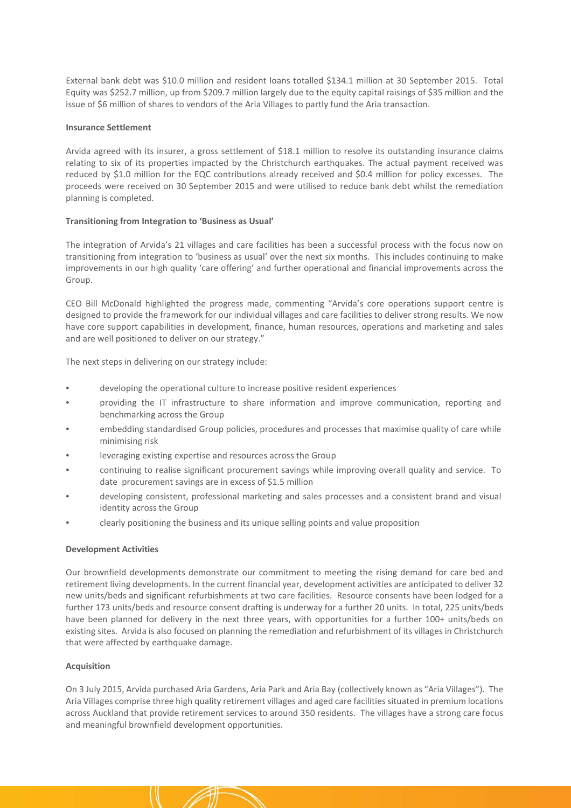External bank debt was \$10.0 million and resident loans totalled \$134.1 million at 30 September 2015. Total Equity was \$252.7 million, up from \$209.7 million largely due to the equity capital raisings of \$35 million and the issue of \$6 million of shares to vendors of the Aria Villages to partly fund the Aria transaction.

#### **Insurance Settlement**

Arvida agreed with its insurer, a gross settlement of \$18.1 million to resolve its outstanding insurance claims relating to six of its properties impacted by the Christchurch earthquakes. The actual payment received was reduced by \$1.0 million for the EQC contributions already received and \$0.4 million for policy excesses. The proceeds were received on 30 September 2015 and were utilised to reduce bank debt whilst the remediation planning is completed.

#### **Transitioning from Integration to 'Business as Usual'**

The integration of Arvida's 21 villages and care facilities has been a successful process with the focus now on transitioning from integration to 'business as usual' over the next six months. This includes continuing to make improvements in our high quality 'care offering' and further operational and financial improvements across the Group.

CEO Bill McDonald highlighted the progress made, commenting "Arvida's core operations support centre is designed to provide the framework for our individual villages and care facilities to deliver strong results. We now have core support capabilities in development, finance, human resources, operations and marketing and sales and are well positioned to deliver on our strategy."

The next steps in delivering on our strategy include:

- developing the operational culture to increase positive resident experiences
- providing the IT infrastructure to share information and improve communication, reporting and benchmarking across the Group
- embedding standardised Group policies, procedures and processes that maximise quality of care while minimising risk
- leveraging existing expertise and resources across the Group
- continuing to realise significant procurement savings while improving overall quality and service. To date procurement savings are in excess of \$1.5 million
- developing consistent, professional marketing and sales processes and a consistent brand and visual identity across the Group
- clearly positioning the business and its unique selling points and value proposition

#### **Development Activities**

Our brownfield developments demonstrate our commitment to meeting the rising demand for care bed and retirement living developments. In the current financial year, development activities are anticipated to deliver 32 new units/beds and significant refurbishments at two care facilities. Resource consents have been lodged for a further 173 units/beds and resource consent drafting is underway for a further 20 units. In total, 225 units/beds have been planned for delivery in the next three years, with opportunities for a further 100+ units/beds on existing sites. Arvida is also focused on planning the remediation and refurbishment of its villages in Christchurch that were affected by earthquake damage.

#### **Acquisition**

On 3 July 2015, Arvida purchased Aria Gardens, Aria Park and Aria Bay (collectively known as "Aria Villages"). The Aria Villages comprise three high quality retirement villages and aged care facilities situated in premium locations across Auckland that provide retirement services to around 350 residents. The villages have a strong care focus and meaningful brownfield development opportunities.